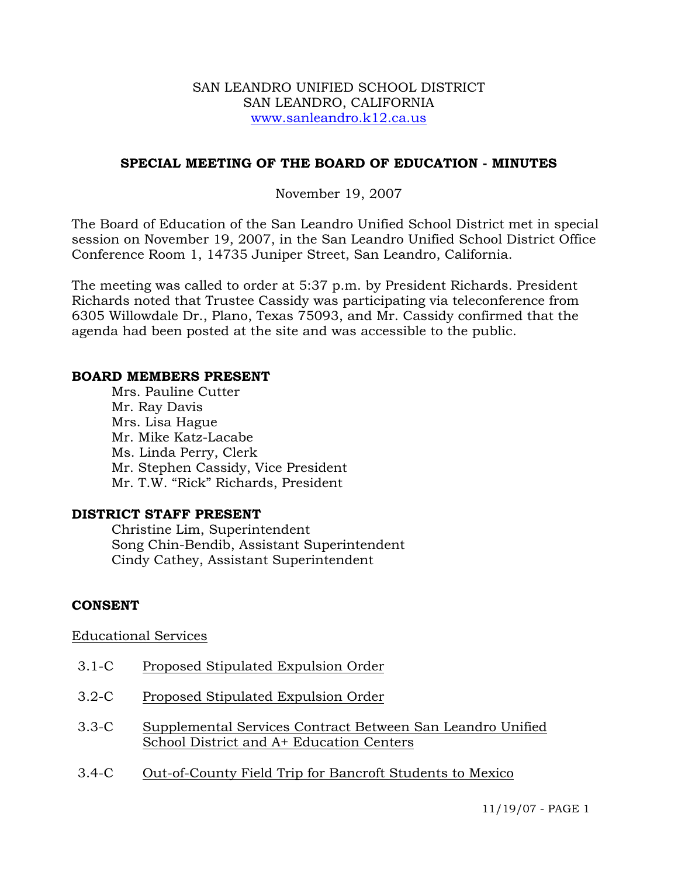#### SAN LEANDRO UNIFIED SCHOOL DISTRICT SAN LEANDRO, CALIFORNIA www.sanleandro.k12.ca.us

### **SPECIAL MEETING OF THE BOARD OF EDUCATION - MINUTES**

### November 19, 2007

The Board of Education of the San Leandro Unified School District met in special session on November 19, 2007, in the San Leandro Unified School District Office Conference Room 1, 14735 Juniper Street, San Leandro, California.

The meeting was called to order at 5:37 p.m. by President Richards. President Richards noted that Trustee Cassidy was participating via teleconference from 6305 Willowdale Dr., Plano, Texas 75093, and Mr. Cassidy confirmed that the agenda had been posted at the site and was accessible to the public.

#### **BOARD MEMBERS PRESENT**

Mrs. Pauline Cutter Mr. Ray Davis Mrs. Lisa Hague Mr. Mike Katz-Lacabe Ms. Linda Perry, Clerk Mr. Stephen Cassidy, Vice President Mr. T.W. "Rick" Richards, President

### **DISTRICT STAFF PRESENT**

Christine Lim, Superintendent Song Chin-Bendib, Assistant Superintendent Cindy Cathey, Assistant Superintendent

### **CONSENT**

### Educational Services

- 3.1-C Proposed Stipulated Expulsion Order
- 3.2-C Proposed Stipulated Expulsion Order
- 3.3-C Supplemental Services Contract Between San Leandro Unified School District and A+ Education Centers
- 3.4-C Out-of-County Field Trip for Bancroft Students to Mexico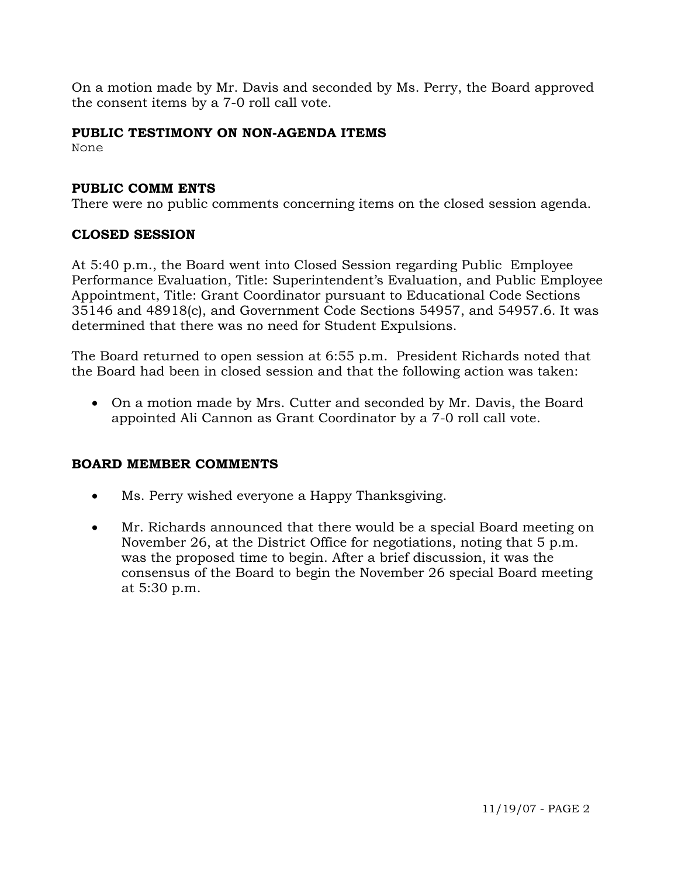On a motion made by Mr. Davis and seconded by Ms. Perry, the Board approved the consent items by a 7-0 roll call vote.

# **PUBLIC TESTIMONY ON NON-AGENDA ITEMS**

None

## **PUBLIC COMM ENTS**

There were no public comments concerning items on the closed session agenda.

## **CLOSED SESSION**

At 5:40 p.m., the Board went into Closed Session regarding Public Employee Performance Evaluation, Title: Superintendent's Evaluation, and Public Employee Appointment, Title: Grant Coordinator pursuant to Educational Code Sections 35146 and 48918(c), and Government Code Sections 54957, and 54957.6. It was determined that there was no need for Student Expulsions.

The Board returned to open session at 6:55 p.m. President Richards noted that the Board had been in closed session and that the following action was taken:

• On a motion made by Mrs. Cutter and seconded by Mr. Davis, the Board appointed Ali Cannon as Grant Coordinator by a 7-0 roll call vote.

### **BOARD MEMBER COMMENTS**

- Ms. Perry wished everyone a Happy Thanksgiving.
- Mr. Richards announced that there would be a special Board meeting on November 26, at the District Office for negotiations, noting that 5 p.m. was the proposed time to begin. After a brief discussion, it was the consensus of the Board to begin the November 26 special Board meeting at 5:30 p.m.